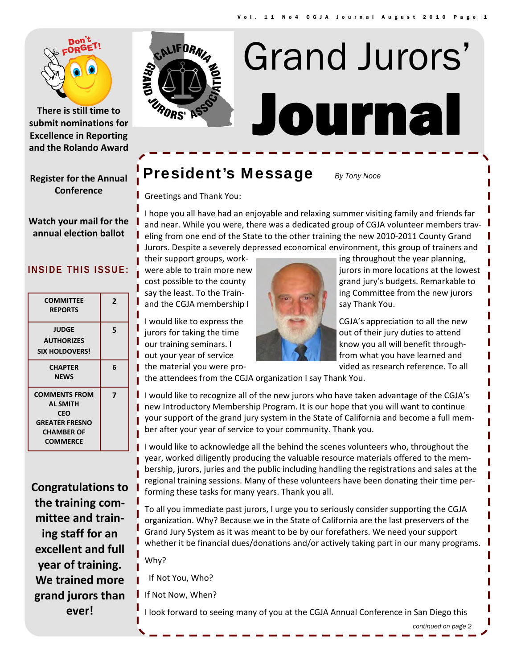

**There is still time to submit nominations for Excellence in Reporting and the Rolando Award**

**Register for the Annual Conference**

**Watch your mail for the annual election ballot**

#### **INSIDE THIS ISSUE:**

| <b>COMMITTEE</b><br><b>REPORTS</b>                                                                                     | 2 |
|------------------------------------------------------------------------------------------------------------------------|---|
| <b>JUDGE</b><br><b>AUTHORIZES</b><br><b>SIX HOLDOVERS!</b>                                                             | 5 |
| <b>CHAPTER</b><br><b>NEWS</b>                                                                                          | 6 |
| <b>COMMENTS FROM</b><br><b>AL SMITH</b><br><b>CEO</b><br><b>GREATER FRESNO</b><br><b>CHAMBER OF</b><br><b>COMMERCE</b> | 7 |

**Congratulations to the training com‐ mittee and train‐ ing staff for an excellent and full year of training. We trained more grand jurors than ever!**



# Journal Grand Jurors'

## **President's Message** *By Tony Noce*

Greetings and Thank You:

I hope you all have had an enjoyable and relaxing summer visiting family and friends far and near. While you were, there was a dedicated group of CGJA volunteer members trav‐ eling from one end of the State to the other training the new 2010‐2011 County Grand Jurors. Despite a severely depressed economical environment, this group of trainers and

and the CGJA membership  $\|\cdot\|$  say Thank You.



their support groups, workwere able to train more new **jurors in more locations at the lowest** cost possible to the county grand jury's budgets. Remarkable to say the least. To the Train-**ing Committee from the new jurors** 

I would like to express the CGJA's appreciation to all the new jurors for taking the time of their jury duties to attend our training seminars. I know you all will benefit throughout your year of service from what you have learned and the material you were pro‐ vided as research reference. To all

the attendees from the CGJA organization I say Thank You.

I I would like to recognize all of the new jurors who have taken advantage of the CGJA's new Introductory Membership Program. It is our hope that you will want to continue your support of the grand jury system in the State of California and become a full mem‐ ber after your year of service to your community. Thank you.

I would like to acknowledge all the behind the scenes volunteers who, throughout the year, worked diligently producing the valuable resource materials offered to the mem‐ bership, jurors, juries and the public including handling the registrations and sales at the regional training sessions. Many of these volunteers have been donating their time per‐ forming these tasks for many years. Thank you all.

To all you immediate past jurors, I urge you to seriously consider supporting the CGJA organization. Why? Because we in the State of California are the last preservers of the Grand Jury System as it was meant to be by our forefathers. We need your support whether it be financial dues/donations and/or actively taking part in our many programs.

Why?

If Not You, Who?

If Not Now, When?

I look forward to seeing many of you at the CGJA Annual Conference in San Diego this

*continued on page 2*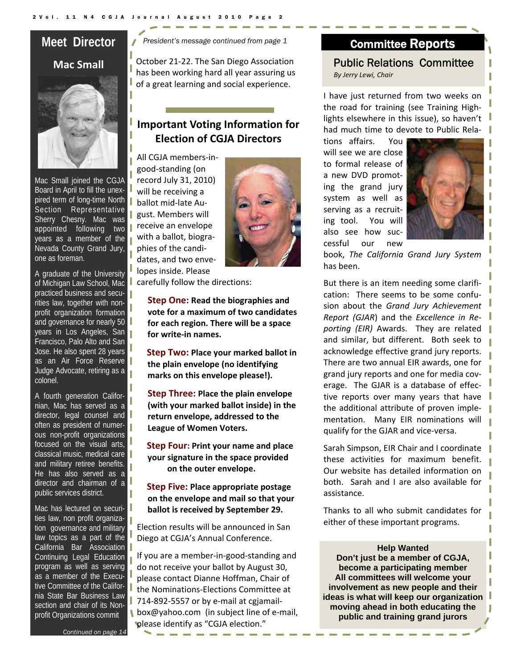## **Meet Director Mac Small**



Mac Small joined the CGJA Board in April to fill the unexpired term of long-time North Section Representative Sherry Chesny. Mac was appointed following two years as a member of the Nevada County Grand Jury, one as foreman.

A graduate of the University of Michigan Law School, Mac practiced business and securities law, together with nonprofit organization formation and governance for nearly 50 years in Los Angeles, San Francisco, Palo Alto and San Jose. He also spent 28 years as an Air Force Reserve Judge Advocate, retiring as a colonel.

A fourth generation Californian, Mac has served as a director, legal counsel and often as president of numerous non-profit organizations focused on the visual arts, classical music, medical care and military retiree benefits. He has also served as a director and chairman of a public services district.

Mac has lectured on securities law, non profit organization governance and military law topics as a part of the California Bar Association Continuing Legal Education program as well as serving as a member of the Executive Committee of the California State Bar Business Law section and chair of its Nonprofit Organizations commit

*President's message continued from page 1* 

October 21‐22. The San Diego Association has been working hard all year assuring us of a great learning and social experience.

## **Important Voting Information for Election of CGJA Directors**

All CGJA members‐in‐ good‐standing (on record July 31, 2010) will be receiving a ballot mid‐late Au‐ gust. Members will receive an envelope with a ballot, biogra‐ phies of the candi‐ dates, and two enve‐ lopes inside. Please



carefully follow the directions:

**Step One: Read the biographies and vote for a maximum of two candidates for each region. There will be a space for write‐in names.**

**Step Two: Place your marked ballot in the plain envelope (no identifying marks on this envelope please!).**

**Step Three: Place the plain envelope (with your marked ballot inside) in the return envelope, addressed to the League of Women Voters.**

**Step Four: Print your name and place your signature in the space provided on the outer envelope.**

**Step Five: Place appropriate postage on the envelope and mail so that your ballot is received by September 29.**

Election results will be announced in San Diego at CGJA's Annual Conference.

If you are a member‐in‐good‐standing and do not receive your ballot by August 30, please contact Dianne Hoffman, Chair of the Nominations‐Elections Committee at 714‐892‐5557 or by e‐mail at cgjamail‐ box@yahoo.com (in subject line of e-mail, please identify as "CGJA election."

## Committee Reports

Public Relations Committee *By Jerry Lewi, Chair*

I have just returned from two weeks on the road for training (see Training High‐ lights elsewhere in this issue), so haven't had much time to devote to Public Rela‐

tions affairs. You will see we are close to formal release of a new DVD promot‐ ing the grand jury system as well as serving as a recruit‐ ing tool. You will also see how suc‐ cessful our new



book, *The California Grand Jury System* has been.

But there is an item needing some clarifi‐ cation: There seems to be some confu‐ sion about the *Grand Jury Achievement Report (GJAR*) and the *Excellence in Re‐ porting (EIR)* Awards. They are related and similar, but different. Both seek to acknowledge effective grand jury reports. There are two annual EIR awards, one for grand jury reports and one for media cov‐ erage. The GJAR is a database of effec‐ tive reports over many years that have the additional attribute of proven imple‐ mentation. Many EIR nominations will qualify for the GJAR and vice‐versa.

Sarah Simpson, EIR Chair and I coordinate these activities for maximum benefit. Our website has detailed information on both. Sarah and I are also available for assistance.

Thanks to all who submit candidates for either of these important programs.

**Help Wanted Don't just be a member of CGJA, become a participating member All committees will welcome your involvement as new people and their ideas is what will keep our organization moving ahead in both educating the public and training grand jurors**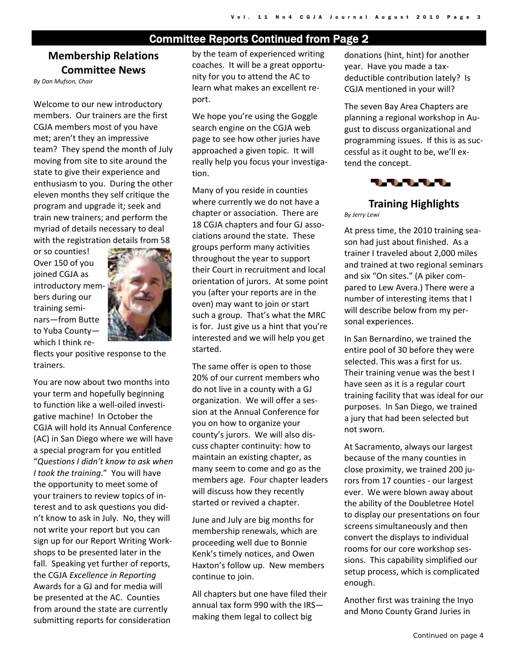## Committee Reports Continued from Page 2

## **Membership Relations Committee News**

*By Dan Mufson, Chair*

Welcome to our new introductory members. Our trainers are the first CGJA members most of you have met; aren't they an impressive team? They spend the month of July moving from site to site around the state to give their experience and enthusiasm to you. During the other eleven months they self critique the program and upgrade it; seek and train new trainers; and perform the myriad of details necessary to deal with the registration details from 58

or so counties! Over 150 of you joined CGJA as introductory mem‐ bers during our training semi‐ nars—from Butte to Yuba County which I think re‐



flects your positive response to the trainers.

You are now about two months into your term and hopefully beginning to function like a well‐oiled investi‐ gative machine! In October the CGJA will hold its Annual Conference (AC) in San Diego where we will have a special program for you entitled "*Questions I didn't know to ask when I took the training*." You will have the opportunity to meet some of your trainers to review topics of in‐ terest and to ask questions you did‐ n't know to ask in July. No, they will not write your report but you can sign up for our Report Writing Work‐ shops to be presented later in the fall. Speaking yet further of reports, the CGJA *Excellence in Reporting* Awards for a GJ and for media will be presented at the AC. Counties from around the state are currently submitting reports for consideration

by the team of experienced writing coaches. It will be a great opportu‐ nity for you to attend the AC to learn what makes an excellent re‐ port.

We hope you're using the Goggle search engine on the CGJA web page to see how other juries have approached a given topic. It will really help you focus your investiga‐ tion.

Many of you reside in counties where currently we do not have a chapter or association. There are 18 CGJA chapters and four GJ associations around the state. These groups perform many activities throughout the year to support their Court in recruitment and local orientation of jurors. At some point you (after your reports are in the oven) may want to join or start such a group. That's what the MRC is for. Just give us a hint that you're interested and we will help you get started.

The same offer is open to those 20% of our current members who do not live in a county with a GJ organization. We will offer a ses‐ sion at the Annual Conference for you on how to organize your county's jurors. We will also dis‐ cuss chapter continuity: how to maintain an existing chapter, as many seem to come and go as the members age. Four chapter leaders will discuss how they recently started or revived a chapter.

June and July are big months for membership renewals, which are proceeding well due to Bonnie Kenk's timely notices, and Owen Haxton's follow up. New members continue to join.

All chapters but one have filed their annual tax form 990 with the IRS making them legal to collect big

donations (hint, hint) for another year. Have you made a tax‐ deductible contribution lately? Is CGJA mentioned in your will?

The seven Bay Area Chapters are planning a regional workshop in Au‐ gust to discuss organizational and programming issues. If this is as suc‐ cessful as it ought to be, we'll ex‐ tend the concept.



## **Training Highlights**

*By Jerry Lewi*

At press time, the 2010 training sea‐ son had just about finished. As a trainer I traveled about 2,000 miles and trained at two regional seminars and six "On sites." (A piker com‐ pared to Lew Avera.) There were a number of interesting items that I will describe below from my per‐ sonal experiences.

In San Bernardino, we trained the entire pool of 30 before they were selected. This was a first for us. Their training venue was the best I have seen as it is a regular court training facility that was ideal for our purposes. In San Diego, we trained a jury that had been selected but not sworn.

At Sacramento, always our largest because of the many counties in close proximity, we trained 200 ju‐ rors from 17 counties ‐ our largest ever. We were blown away about the ability of the Doubletree Hotel to display our presentations on four screens simultaneously and then convert the displays to individual rooms for our core workshop ses‐ sions. This capability simplified our setup process, which is complicated enough.

Another first was training the Inyo and Mono County Grand Juries in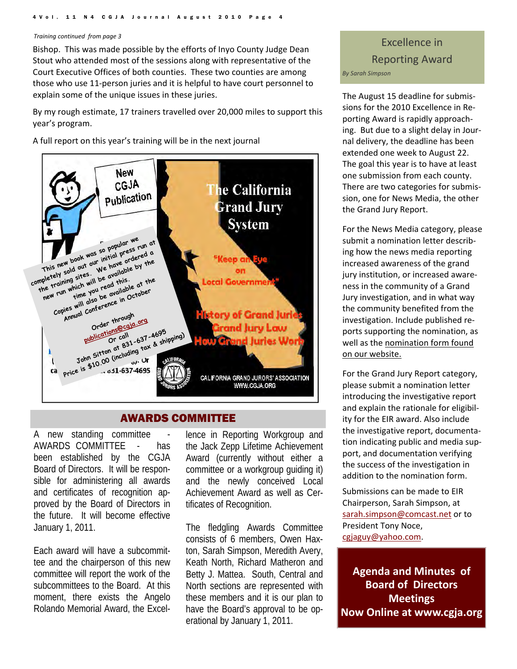#### *Training continued from page 3*

Bishop. This was made possible by the efforts of Inyo County Judge Dean Stout who attended most of the sessions along with representative of the Court Executive Offices of both counties. These two counties are among those who use 11‐person juries and it is helpful to have court personnel to explain some of the unique issues in these juries.

By my rough estimate, 17 trainers travelled over 20,000 miles to support this year's program.

A full report on this year's training will be in the next journal



#### AWARDS COMMITTEE

A new standing committee AWARDS COMMITTEE - has been established by the CGJA Board of Directors. It will be responsible for administering all awards and certificates of recognition approved by the Board of Directors in the future. It will become effective January 1, 2011.

Each award will have a subcommittee and the chairperson of this new committee will report the work of the subcommittees to the Board. At this moment, there exists the Angelo Rolando Memorial Award, the Excel-

lence in Reporting Workgroup and the Jack Zepp Lifetime Achievement Award (currently without either a committee or a workgroup guiding it) and the newly conceived Local Achievement Award as well as Certificates of Recognition.

The fledgling Awards Committee consists of 6 members, Owen Haxton, Sarah Simpson, Meredith Avery, Keath North, Richard Matheron and Betty J. Mattea. South, Central and North sections are represented with these members and it is our plan to have the Board's approval to be operational by January 1, 2011.

## Excellence in Reporting Award *By Sarah Simpson*

The August 15 deadline for submis‐ sions for the 2010 Excellence in Re‐ porting Award is rapidly approach‐ ing. But due to a slight delay in Jour‐ nal delivery, the deadline has been extended one week to August 22. The goal this year is to have at least one submission from each county. There are two categories for submis‐ sion, one for News Media, the other the Grand Jury Report.

For the News Media category, please submit a nomination letter describ‐ ing how the news media reporting increased awareness of the grand jury institution, or increased aware‐ ness in the community of a Grand Jury investigation, and in what way the community benefited from the investigation. Include published re‐ ports supporting the nomination, as well as the nomination form found on our website.

For the Grand Jury Report category, please submit a nomination letter introducing the investigative report and explain the rationale for eligibil‐ ity for the EIR award. Also include the investigative report, documenta‐ tion indicating public and media sup‐ port, and documentation verifying the success of the investigation in addition to the nomination form.

Submissions can be made to EIR Chairperson, Sarah Simpson, at sarah.simpson@comcast.net or to President Tony Noce, cgjaguy@yahoo.com.

**Agenda and Minutes of Board of Directors Meetings Now Online at www.cgja.org**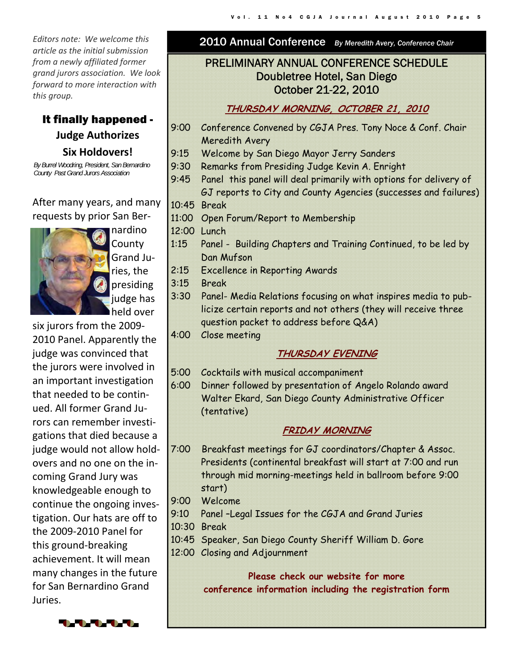*Editors note: We welcome this article as the initial submission from a newly affiliated former grand jurors association. We look forward to more interaction with this group.*

It finally happened - **Judge Authorizes Six Holdovers!**

*By Burrel Woodring, President, San Bernardino County Past Grand Jurors Association* 

After many years, and many requests by prior San Ber‐



nardino County Grand Ju‐ ries, the presiding judge has held over

six jurors from the 2009‐ 2010 Panel. Apparently the judge was convinced that the jurors were involved in an important investigation that needed to be contin‐ ued. All former Grand Ju‐ rors can remember investi‐ gations that died because a judge would not allow hold‐ overs and no one on the in‐ coming Grand Jury was knowledgeable enough to continue the ongoing inves‐ tigation. Our hats are off to the 2009‐2010 Panel for this ground‐breaking achievement. It will mean many changes in the future for San Bernardino Grand Juries.

2010 Annual Conference *By Meredith Avery, Conference Chair* 

## PRELIMINARY ANNUAL CONFERENCE SCHEDULE Doubletree Hotel, San Diego October 21-22, 2010

## **THURSDAY MORNING, OCTOBER 21, 2010**

- 9:00 Conference Convened by CGJA Pres. Tony Noce & Conf. Chair Meredith Avery
- 9:15 Welcome by San Diego Mayor Jerry Sanders
- 9:30 Remarks from Presiding Judge Kevin A. Enright
- 9:45 Panel this panel will deal primarily with options for delivery of GJ reports to City and County Agencies (successes and failures) 10:45 Break
- 11:00 Open Forum/Report to Membership
- 12:00 Lunch
- 1:15 Panel Building Chapters and Training Continued, to be led by Dan Mufson
- 2:15 Excellence in Reporting Awards
- 3:15 Break
- 3:30 Panel- Media Relations focusing on what inspires media to publicize certain reports and not others (they will receive three question packet to address before Q&A)
- 4:00 Close meeting

## **THURSDAY EVENING**

- 5:00 Cocktails with musical accompaniment
- 6:00 Dinner followed by presentation of Angelo Rolando award Walter Ekard, San Diego County Administrative Officer (tentative)

## **FRIDAY MORNING**

- 7:00 Breakfast meetings for GJ coordinators/Chapter & Assoc. Presidents (continental breakfast will start at 7:00 and run through mid morning-meetings held in ballroom before 9:00 start)
- 9:00 Welcome
- 9:10 Panel –Legal Issues for the CGJA and Grand Juries
- 10:30 Break
- 10:45 Speaker, San Diego County Sheriff William D. Gore
- 12:00 Closing and Adjournment

**Please check our website for more conference information including the registration form**

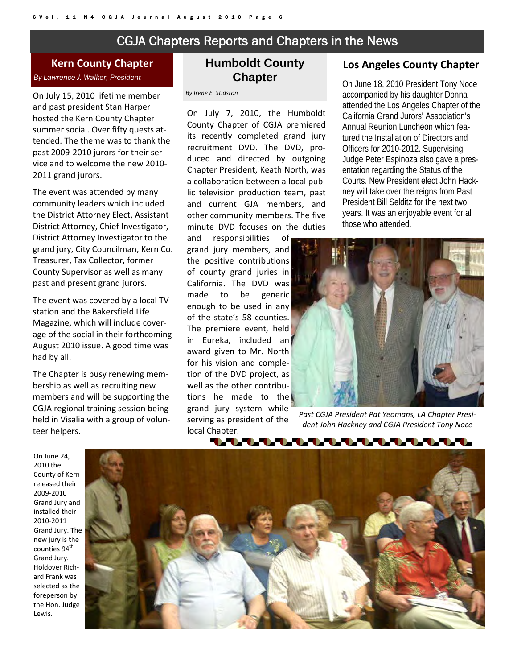## CGJA Chapters Reports and Chapters in the News

**Kern County Chapter** *By Lawrence J. Walker, President* 

On July 15, 2010 lifetime member and past president Stan Harper hosted the Kern County Chapter summer social. Over fifty quests at‐ tended. The theme was to thank the past 2009-2010 jurors for their service and to welcome the new 2010‐ 2011 grand jurors.

The event was attended by many community leaders which included the District Attorney Elect, Assistant District Attorney, Chief Investigator, District Attorney Investigator to the grand jury, City Councilman, Kern Co. Treasurer, Tax Collector, former County Supervisor as well as many past and present grand jurors.

The event was covered by a local TV station and the Bakersfield Life Magazine, which will include cover‐ age of the social in their forthcoming August 2010 issue. A good time was had by all.

The Chapter is busy renewing mem‐ bership as well as recruiting new members and will be supporting the CGJA regional training session being held in Visalia with a group of volun‐ teer helpers.

### **Humboldt County Chapter**

*By Irene E. Stidston* 

On July 7, 2010, the Humboldt County Chapter of CGJA premiered its recently completed grand jury recruitment DVD. The DVD, pro‐ duced and directed by outgoing Chapter President, Keath North, was a collaboration between a local pub‐ lic television production team, past and current GJA members, and other community members. The five minute DVD focuses on the duties

and responsibilities of grand jury members, and the positive contributions of county grand juries in California. The DVD was made to be generic enough to be used in any of the state's 58 counties. The premiere event, held in Eureka, included an award given to Mr. North for his vision and comple‐ tion of the DVD project, as well as the other contributions he made to the grand jury system while serving as president of the local Chapter.

#### **Los Angeles County Chapter**

On June 18, 2010 President Tony Noce accompanied by his daughter Donna attended the Los Angeles Chapter of the California Grand Jurors' Association's Annual Reunion Luncheon which featured the Installation of Directors and Officers for 2010-2012. Supervising Judge Peter Espinoza also gave a presentation regarding the Status of the Courts. New President elect John Hackney will take over the reigns from Past President Bill Selditz for the next two years. It was an enjoyable event for all those who attended.



*Past CGJA President Pat Yeomans, LA Chapter Presi‐ dent John Hackney and CGJA President Tony Noce* 

On June 24, 2010 the County of Kern released their 2009‐2010 Grand Jury and installed their 2010‐2011 Grand Jury. The new jury is the counties 94<sup>th</sup> Grand Jury. Holdover Rich‐ ard Frank was selected as the foreperson by the Hon. Judge Lewis.

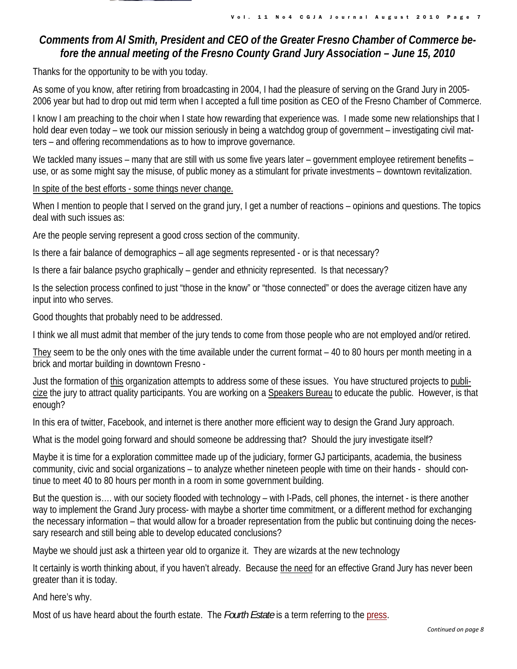

Vol. 11 No4 CGJA Journal August 2010 Page 7

## *Comments from Al Smith, President and CEO of the Greater Fresno Chamber of Commerce before the annual meeting of the Fresno County Grand Jury Association – June 15, 2010*

Thanks for the opportunity to be with you today.

As some of you know, after retiring from broadcasting in 2004, I had the pleasure of serving on the Grand Jury in 2005- 2006 year but had to drop out mid term when I accepted a full time position as CEO of the Fresno Chamber of Commerce.

I know I am preaching to the choir when I state how rewarding that experience was. I made some new relationships that I hold dear even today – we took our mission seriously in being a watchdog group of government – investigating civil matters – and offering recommendations as to how to improve governance.

We tackled many issues – many that are still with us some five years later – government employee retirement benefits – use, or as some might say the misuse, of public money as a stimulant for private investments – downtown revitalization.

In spite of the best efforts - some things never change.

When I mention to people that I served on the grand jury, I get a number of reactions – opinions and questions. The topics deal with such issues as:

Are the people serving represent a good cross section of the community.

Is there a fair balance of demographics – all age segments represented - or is that necessary?

Is there a fair balance psycho graphically – gender and ethnicity represented. Is that necessary?

Is the selection process confined to just "those in the know" or "those connected" or does the average citizen have any input into who serves.

Good thoughts that probably need to be addressed.

I think we all must admit that member of the jury tends to come from those people who are not employed and/or retired.

They seem to be the only ones with the time available under the current format – 40 to 80 hours per month meeting in a brick and mortar building in downtown Fresno -

Just the formation of this organization attempts to address some of these issues. You have structured projects to publicize the jury to attract quality participants. You are working on a Speakers Bureau to educate the public. However, is that enough?

In this era of twitter, Facebook, and internet is there another more efficient way to design the Grand Jury approach.

What is the model going forward and should someone be addressing that? Should the jury investigate itself?

Maybe it is time for a exploration committee made up of the judiciary, former GJ participants, academia, the business community, civic and social organizations – to analyze whether nineteen people with time on their hands - should continue to meet 40 to 80 hours per month in a room in some government building.

But the question is…. with our society flooded with technology – with I-Pads, cell phones, the internet - is there another way to implement the Grand Jury process- with maybe a shorter time commitment, or a different method for exchanging the necessary information – that would allow for a broader representation from the public but continuing doing the necessary research and still being able to develop educated conclusions?

Maybe we should just ask a thirteen year old to organize it. They are wizards at the new technology

It certainly is worth thinking about, if you haven't already. Because the need for an effective Grand Jury has never been greater than it is today.

And here's why.

Most of us have heard about the fourth estate. The *Fourth Estate* is a term referring to the press.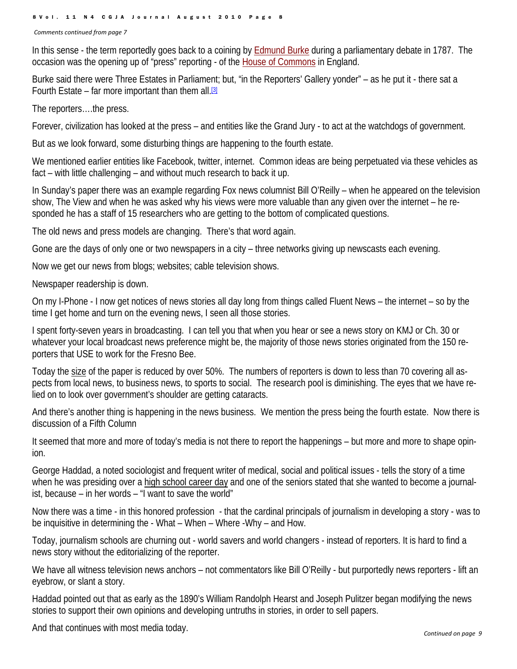8Vol. 11 N4 CGJA Journal August 2010 Page 8

*Comments continued from page 7*

In this sense - the term reportedly goes back to a coining by Edmund Burke during a parliamentary debate in 1787. The occasion was the opening up of "press" reporting - of the House of Commons in England.

Burke said there were Three Estates in Parliament; but, "in the Reporters' Gallery yonder" – as he put it - there sat a Fourth Estate – far more important than them all.  $[3]$ 

The reporters….the press.

Forever, civilization has looked at the press – and entities like the Grand Jury - to act at the watchdogs of government.

But as we look forward, some disturbing things are happening to the fourth estate.

We mentioned earlier entities like Facebook, twitter, internet. Common ideas are being perpetuated via these vehicles as fact – with little challenging – and without much research to back it up.

In Sunday's paper there was an example regarding Fox news columnist Bill O'Reilly – when he appeared on the television show, The View and when he was asked why his views were more valuable than any given over the internet – he responded he has a staff of 15 researchers who are getting to the bottom of complicated questions.

The old news and press models are changing. There's that word again.

Gone are the days of only one or two newspapers in a city – three networks giving up newscasts each evening.

Now we get our news from blogs; websites; cable television shows.

Newspaper readership is down.

On my I-Phone - I now get notices of news stories all day long from things called Fluent News – the internet – so by the time I get home and turn on the evening news, I seen all those stories.

I spent forty-seven years in broadcasting. I can tell you that when you hear or see a news story on KMJ or Ch. 30 or whatever your local broadcast news preference might be, the majority of those news stories originated from the 150 reporters that USE to work for the Fresno Bee.

Today the size of the paper is reduced by over 50%. The numbers of reporters is down to less than 70 covering all aspects from local news, to business news, to sports to social. The research pool is diminishing. The eyes that we have relied on to look over government's shoulder are getting cataracts.

And there's another thing is happening in the news business. We mention the press being the fourth estate. Now there is discussion of a Fifth Column

It seemed that more and more of today's media is not there to report the happenings – but more and more to shape opinion.

George Haddad, a noted sociologist and frequent writer of medical, social and political issues - tells the story of a time when he was presiding over a high school career day and one of the seniors stated that she wanted to become a journalist, because – in her words – "I want to save the world"

Now there was a time - in this honored profession - that the cardinal principals of journalism in developing a story - was to be inquisitive in determining the - What – When – Where -Why – and How.

Today, journalism schools are churning out - world savers and world changers - instead of reporters. It is hard to find a news story without the editorializing of the reporter.

We have all witness television news anchors – not commentators like Bill O'Reilly - but purportedly news reporters - lift an eyebrow, or slant a story.

Haddad pointed out that as early as the 1890's William Randolph Hearst and Joseph Pulitzer began modifying the news stories to support their own opinions and developing untruths in stories, in order to sell papers.

And that continues with most media today.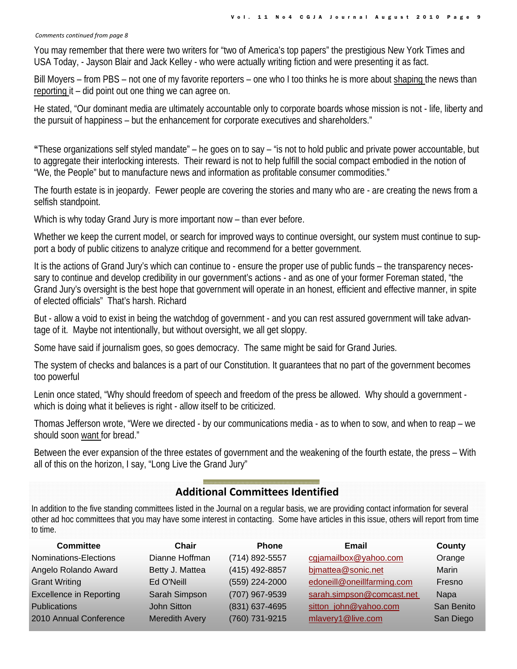#### *Comments continued from page 8*

You may remember that there were two writers for "two of America's top papers" the prestigious New York Times and USA Today, - Jayson Blair and Jack Kelley - who were actually writing fiction and were presenting it as fact.

Bill Moyers – from PBS – not one of my favorite reporters – one who I too thinks he is more about shaping the news than reporting it – did point out one thing we can agree on.

He stated, "Our dominant media are ultimately accountable only to corporate boards whose mission is not - life, liberty and the pursuit of happiness – but the enhancement for corporate executives and shareholders."

**"**These organizations self styled mandate" – he goes on to say – "is not to hold public and private power accountable, but to aggregate their interlocking interests. Their reward is not to help fulfill the social compact embodied in the notion of "We, the People" but to manufacture news and information as profitable consumer commodities."

The fourth estate is in jeopardy. Fewer people are covering the stories and many who are - are creating the news from a selfish standpoint.

Which is why today Grand Jury is more important now – than ever before.

Whether we keep the current model, or search for improved ways to continue oversight, our system must continue to support a body of public citizens to analyze critique and recommend for a better government.

It is the actions of Grand Jury's which can continue to - ensure the proper use of public funds – the transparency necessary to continue and develop credibility in our government's actions - and as one of your former Foreman stated, "the Grand Jury's oversight is the best hope that government will operate in an honest, efficient and effective manner, in spite of elected officials" That's harsh. Richard

But - allow a void to exist in being the watchdog of government - and you can rest assured government will take advantage of it. Maybe not intentionally, but without oversight, we all get sloppy.

Some have said if journalism goes, so goes democracy. The same might be said for Grand Juries.

The system of checks and balances is a part of our Constitution. It guarantees that no part of the government becomes too powerful

Lenin once stated, "Why should freedom of speech and freedom of the press be allowed. Why should a government which is doing what it believes is right - allow itself to be criticized.

Thomas Jefferson wrote, "Were we directed - by our communications media - as to when to sow, and when to reap – we should soon want for bread."

Between the ever expansion of the three estates of government and the weakening of the fourth estate, the press – With all of this on the horizon, I say, "Long Live the Grand Jury"

## **Additional Committees Identified**

In addition to the five standing committees listed in the Journal on a regular basis, we are providing contact information for several other ad hoc committees that you may have some interest in contacting. Some have articles in this issue, others will report from time to time.

| <b>Committee</b>               | Chair                 | <b>Phone</b>   | Email                      | County      |
|--------------------------------|-----------------------|----------------|----------------------------|-------------|
| Nominations-Elections          | Dianne Hoffman        | (714) 892-5557 | cgjamailbox@yahoo.com      | Orange      |
| Angelo Rolando Award           | Betty J. Mattea       | (415) 492-8857 | bjmattea@sonic.net         | Marin       |
| <b>Grant Writing</b>           | Ed O'Neill            | (559) 224-2000 | edoneill@oneillfarming.com | Fresno      |
| <b>Excellence in Reporting</b> | Sarah Simpson         | (707) 967-9539 | sarah.simpson@comcast.net  | <b>Napa</b> |
| <b>Publications</b>            | John Sitton           | (831) 637-4695 | sitton_john@yahoo.com      | San Benito  |
| 2010 Annual Conference         | <b>Meredith Avery</b> | (760) 731-9215 | mlavery1@live.com          | San Diego   |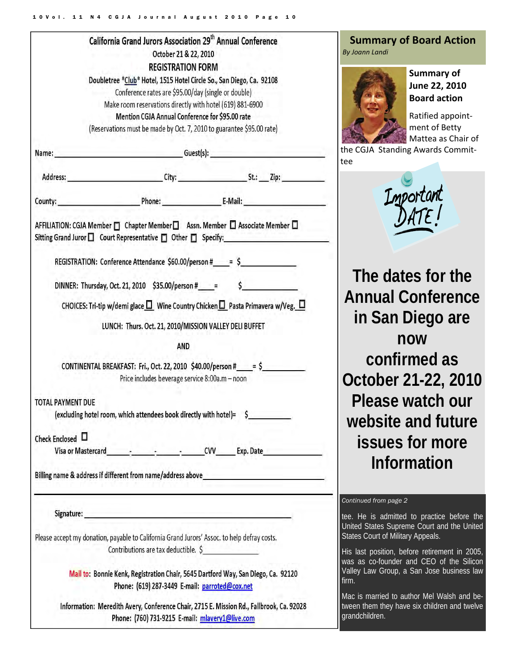|                                                                                             | California Grand Jurors Association 29 <sup>th</sup> Annual Conference                                                      |                          |                                                                                                                                                                   |
|---------------------------------------------------------------------------------------------|-----------------------------------------------------------------------------------------------------------------------------|--------------------------|-------------------------------------------------------------------------------------------------------------------------------------------------------------------|
|                                                                                             |                                                                                                                             | October 21 & 22, 2010    |                                                                                                                                                                   |
|                                                                                             |                                                                                                                             | <b>REGISTRATION FORM</b> |                                                                                                                                                                   |
|                                                                                             | Doubletree *Club* Hotel, 1515 Hotel Circle So., San Diego, Ca. 92108<br>Conference rates are \$95.00/day (single or double) |                          |                                                                                                                                                                   |
|                                                                                             | Make room reservations directly with hotel (619) 881-6900                                                                   |                          |                                                                                                                                                                   |
|                                                                                             | Mention CGJA Annual Conference for \$95.00 rate                                                                             |                          |                                                                                                                                                                   |
|                                                                                             | (Reservations must be made by Oct. 7, 2010 to guarantee \$95.00 rate)                                                       |                          |                                                                                                                                                                   |
|                                                                                             |                                                                                                                             |                          |                                                                                                                                                                   |
|                                                                                             |                                                                                                                             |                          | Name: Guest(s): Guest(s):                                                                                                                                         |
|                                                                                             |                                                                                                                             |                          |                                                                                                                                                                   |
|                                                                                             |                                                                                                                             |                          | County: Phone: E-Mail: E-Mail:                                                                                                                                    |
|                                                                                             |                                                                                                                             |                          | AFFILIATION: CGJA Member □ Chapter Member □ Assn. Member □ Associate Member □<br>Sitting Grand Juror □ Court Representative □ Other □ Specify: __________________ |
|                                                                                             |                                                                                                                             |                          | REGISTRATION: Conference Attendance \$60.00/person #_____= \$_____________________                                                                                |
|                                                                                             |                                                                                                                             |                          | DINNER: Thursday, Oct. 21, 2010 \$35.00/person #_____= \$_________________________                                                                                |
|                                                                                             |                                                                                                                             |                          | CHOICES: Tri-tip w/demi glace $\square$ Wine Country Chicken $\square$ Pasta Primavera w/Veg. $\square$                                                           |
|                                                                                             | LUNCH: Thurs. Oct. 21, 2010/MISSION VALLEY DELI BUFFET                                                                      |                          |                                                                                                                                                                   |
|                                                                                             |                                                                                                                             | <b>AND</b>               |                                                                                                                                                                   |
|                                                                                             | Price includes beverage service 8:00a.m - noon                                                                              |                          | CONTINENTAL BREAKFAST: Fri., Oct. 22, 2010 \$40.00/person # ___ = \$                                                                                              |
| <b>TOTAL PAYMENT DUE</b>                                                                    |                                                                                                                             |                          | (excluding hotel room, which attendees book directly with hotel)= \$                                                                                              |
|                                                                                             |                                                                                                                             |                          |                                                                                                                                                                   |
| Check Enclosed L                                                                            |                                                                                                                             |                          |                                                                                                                                                                   |
|                                                                                             |                                                                                                                             |                          |                                                                                                                                                                   |
|                                                                                             |                                                                                                                             |                          |                                                                                                                                                                   |
|                                                                                             |                                                                                                                             |                          |                                                                                                                                                                   |
|                                                                                             | Signature: Executive Signature: Executive Signature: Executive Signature:                                                   |                          |                                                                                                                                                                   |
| Please accept my donation, payable to California Grand Jurors' Assoc. to help defray costs. | Contributions are tax deductible. \$                                                                                        |                          |                                                                                                                                                                   |
|                                                                                             | Phone: (619) 287-3449 E-mail: parroted@cox.net                                                                              |                          | Mail to: Bonnie Kenk, Registration Chair, 5645 Dartford Way, San Diego, Ca. 92120                                                                                 |
|                                                                                             |                                                                                                                             |                          | Information: Meredith Avery, Conference Chair, 2715 E. Mission Rd., Fallbrook, Ca. 92028                                                                          |
|                                                                                             |                                                                                                                             |                          |                                                                                                                                                                   |

Phone: (760) 731-9215 E-mail: mlavery1@live.com

#### **Summary of Board Action**  *By Joann Landi*



**Summary of June 22, 2010 Board action**

Ratified appoint‐ ment of Betty Mattea as Chair of

the CGJA Standing Awards Commit‐ tee

Important

**The dates for the Annual Conference in San Diego are now confirmed as October 21-22, 2010 Please watch our website and future issues for more Information** 

#### *Continued from page 2*

tee. He is admitted to practice before the United States Supreme Court and the United States Court of Military Appeals.

His last position, before retirement in 2005, was as co-founder and CEO of the Silicon Valley Law Group, a San Jose business law firm.

Mac is married to author Mel Walsh and between them they have six children and twelve grandchildren.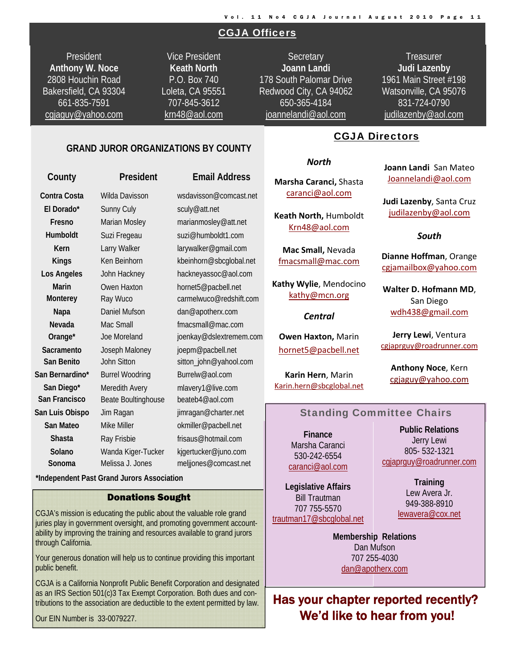#### CGJA Officers

President **Anthony W. Noce**  2808 Houchin Road Bakersfield, CA 93304 661-835-7591 cgjaguy@yahoo.com

Vice President **Keath North**  P.O. Box 740 Loleta, CA 95551 707-845-3612 krn48@aol.com

**Secretary Joann Landi** 178 South Palomar Drive Redwood City, CA 94062 650-365-4184 joannelandi@aol.com

**Treasurer Judi Lazenby**  1961 Main Street #198 Watsonville, CA 95076 831-724-0790 judilazenby@aol.com

i

#### **GRAND JUROR ORGANIZATIONS BY COUNTY**

| County          | President              | <b>Email Address</b>    |  |
|-----------------|------------------------|-------------------------|--|
| Contra Costa    | Wilda Davisson         | wsdavisson@comcast.net  |  |
| El Dorado*      | Sunny Culy             | sculy@att.net           |  |
| Fresno          | Marian Mosley          | marianmosley@att.net    |  |
| Humboldt        | Suzi Fregeau           | suzi@humboldt1.com      |  |
| Kern            | Larry Walker           | larywalker@gmail.com    |  |
| <b>Kings</b>    | Ken Beinhorn           | kbeinhorn@sbcglobal.net |  |
| Los Angeles     | John Hackney           | hackneyassoc@aol.com    |  |
| <b>Marin</b>    | Owen Haxton            | hornet5@pacbell.net     |  |
| Monterey        | Ray Wuco               | carmelwuco@redshift.com |  |
| Napa            | Daniel Mufson          | dan@apotherx.com        |  |
| Nevada          | Mac Small              | fmacsmall@mac.com       |  |
| Orange*         | Joe Moreland           | joenkay@dslextremem.com |  |
| Sacramento      | Joseph Maloney         | joepm@pacbell.net       |  |
| San Benito      | John Sitton            | sitton_john@yahool.com  |  |
| San Bernardino* | <b>Burrel Woodring</b> | Burrelw@aol.com         |  |
| San Diego*      | Meredith Avery         | mlavery1@live.com       |  |
| San Francisco   | Beate Boultinghouse    | beateb4@aol.com         |  |
| San Luis Obispo | Jim Ragan              | jimragan@charter.net    |  |
| San Mateo       | Mike Miller            | okmiller@pacbell.net    |  |
| Shasta          | Ray Frisbie            | frisaus@hotmail.com     |  |
| Solano          | Wanda Kiger-Tucker     | kjgertucker@juno.com    |  |
| Sonoma          | Melissa J. Jones       | meljjones@comcast.net   |  |

 **\*Independent Past Grand Jurors Association** 

#### Donations Sought

CGJA's mission is educating the public about the valuable role grand juries play in government oversight, and promoting government accountability by improving the training and resources available to grand jurors through California.

Your generous donation will help us to continue providing this important public benefit.

CGJA is a California Nonprofit Public Benefit Corporation and designated as an IRS Section 501(c)3 Tax Exempt Corporation. Both dues and contributions to the association are deductible to the extent permitted by law.

Our EIN Number is 33-0079227.

#### CGJA Directors

#### *North*

**Marsha Caranci,** Shasta caranci@aol.com

**Keath North,** Humboldt Krn48@aol.com

**Mac Small,** Nevada fmacsmall@mac.com

**Kathy Wylie**, Mendocino kathy@mcn.org

*Central*

**Owen Haxton,** Marin hornet5@pacbell.net

**Karin Hern**, Marin Karin.hern@sbcglobal.net **Joann Landi** San Mateo Joannelandi@aol.com

**Judi Lazenby**, Santa Cruz judilazenby@aol.com

#### *South*

**Dianne Hoffman**, Orange cgjamailbox@yahoo.com

**Walter D. Hofmann MD**, San Diego wdh438@gmail.com

**Jerry Lewi**, Ventura cgjaprguy@roadrunner.com

**Anthony Noce**, Kern cgjaguy@yahoo.com

#### Standing Committee Chairs

**Finance**  Marsha Caranci 530-242-6554 caranci@aol.com

**Legislative Affairs**  Bill Trautman 707 755-5570 trautman17@sbcglobal.net

**Public Relations**  Jerry Lewi 805- 532-1321 cgiaprguy@roadrunner.com

> **Training**  Lew Avera Jr. 949-388-8910 lewavera@cox.net

**Membership Relations**  707 255-4030 **Membership Relations**  Dan Mufson 707 255-4030 dan@apotherx.com

Has your chapter reported recently? We'd like to hear from you!